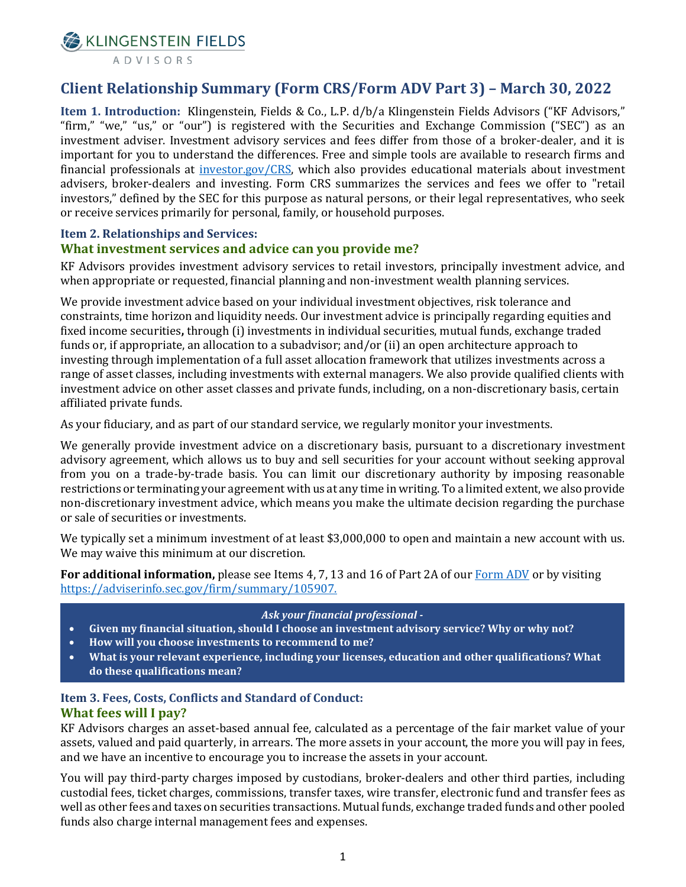**X** KLINGENSTEIN FIELDS

# **Client Relationship Summary (Form CRS/Form ADV Part 3) – March 30, 2022**

**Item 1. Introduction:** Klingenstein, Fields & Co., L.P. d/b/a Klingenstein Fields Advisors ("KF Advisors," "firm," "we," "us," or "our") is registered with the Securities and Exchange Commission ("SEC") as an investment adviser. Investment advisory services and fees differ from those of a broker-dealer, and it is important for you to understand the differences. Free and simple tools are available to research firms and financial professionals at [investor.gov/CRS,](https://www.investor.gov/home/welcome-investor-gov-crs) which also provides educational materials about investment advisers, broker-dealers and investing. Form CRS summarizes the services and fees we offer to "retail investors," defined by the SEC for this purpose as natural persons, or their legal representatives, who seek or receive services primarily for personal, family, or household purposes.

# **Item 2. Relationships and Services:**

## **What investment services and advice can you provide me?**

KF Advisors provides investment advisory services to retail investors, principally investment advice, and when appropriate or requested, financial planning and non-investment wealth planning services.

We provide investment advice based on your individual investment objectives, risk tolerance and constraints, time horizon and liquidity needs. Our investment advice is principally regarding equities and fixed income securities**,** through (i) investments in individual securities, mutual funds, exchange traded funds or, if appropriate, an allocation to a subadvisor; and/or (ii) an open architecture approach to investing through implementation of a full asset allocation framework that utilizes investments across a range of asset classes, including investments with external managers. We also provide qualified clients with investment advice on other asset classes and private funds, including, on a non-discretionary basis, certain affiliated private funds.

As your fiduciary, and as part of our standard service, we regularly monitor your investments.

We generally provide investment advice on a discretionary basis, pursuant to a discretionary investment advisory agreement, which allows us to buy and sell securities for your account without seeking approval from you on a trade-by-trade basis. You can limit our discretionary authority by imposing reasonable restrictions or terminating your agreement with us at any time in writing. To a limited extent, we also provide non-discretionary investment advice, which means you make the ultimate decision regarding the purchase or sale of securities or investments.

We typically set a minimum investment of at least \$3,000,000 to open and maintain a new account with us. We may waive this minimum at our discretion.

**For additional information,** please see Items 4, 7, 13 and 16 of Part 2A of our [Form ADV](https://adviserinfo.sec.gov/firm/summary/105907) or by visiting https://adviserinfo.sec.gov/firm/summary/105907.

#### *Ask your financial professional -*

- **Given my financial situation, should I choose an investment advisory service? Why or why not?**
- **How will you choose investments to recommend to me?**
- **What is your relevant experience, including your licenses, education and other qualifications? What do these qualifications mean?**

#### **Item 3. Fees, Costs, Conflicts and Standard of Conduct: What fees will I pay?**

KF Advisors charges an asset-based annual fee, calculated as a percentage of the fair market value of your assets, valued and paid quarterly, in arrears. The more assets in your account, the more you will pay in fees, and we have an incentive to encourage you to increase the assets in your account.

You will pay third-party charges imposed by custodians, broker-dealers and other third parties, including custodial fees, ticket charges, commissions, transfer taxes, wire transfer, electronic fund and transfer fees as well as other fees and taxes on securities transactions. Mutual funds, exchange traded funds and other pooled funds also charge internal management fees and expenses.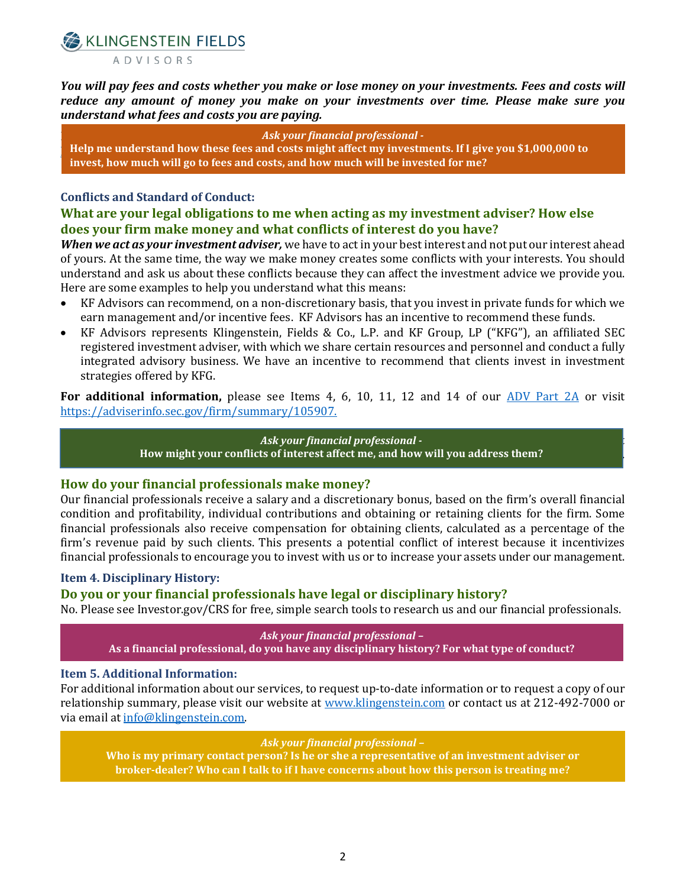CKLINGENSTEIN FIELDS ADVISORS

*You will pay fees and costs whether you make or lose money on your investments. Fees and costs will reduce any amount of money you make on your investments over time. Please make sure you understand what fees and costs you are paying.*

**For additional information, please see Item 5 of our Ask your financ[ial professiona](https://www.klingenstein.com/wp-content/uploads/2020/05/KF_ADV_Part2A_v10-0-2020-Final-as-of-20200330-As-Filed.pdf)l -**Help me understand how these fees and costs might affect my investments. If I give you \$1,000,000 to **b**  $\cdot$ **invest, how much will go to fees and costs, and how much will be invested for me?**

#### **Conflicts and Standard of Conduct:**

## **What are your legal obligations to me when acting as my investment adviser? How else does your firm make money and what conflicts of interest do you have?**

*When we act as your investment adviser,* we have to act in your best interest and not put our interest ahead of yours. At the same time, the way we make money creates some conflicts with your interests. You should understand and ask us about these conflicts because they can affect the investment advice we provide you. Here are some examples to help you understand what this means:

- KF Advisors can recommend, on a non-discretionary basis, that you invest in private funds for which we earn management and/or incentive fees. KF Advisors has an incentive to recommend these funds.
- KF Advisors represents Klingenstein, Fields & Co., L.P. and KF Group, LP ("KFG"), an affiliated SEC registered investment adviser, with which we share certain resources and personnel and conduct a fully integrated advisory business. We have an incentive to recommend that clients invest in investment strategies offered by KFG.

**For additional information,** please see Items 4, 6, 10, 11, 12 and 14 of our [ADV Part 2A](https://adviserinfo.sec.gov/firm/summary/105907) or visit https://adviserinfo.sec.gov/firm/summary/105907.

## Additional information: Additional information on conflicts of interest can be found in our Form ADV, Part *Ask your financial professional -*

2A (Items 7, 8, 10, 11 and 12) which is on our website at KF Advisorsinvestment.com/our-firm/compliance. **How might your conflicts of interest affect me, and how will you address them?**

#### **How do your financial professionals make money?**

Our financial professionals receive a salary and a discretionary bonus, based on the firm's overall financial condition and profitability, individual contributions and obtaining or retaining clients for the firm. Some financial professionals also receive compensation for obtaining clients, calculated as a percentage of the firm's revenue paid by such clients. This presents a potential conflict of interest because it incentivizes financial professionals to encourage you to invest with us or to increase your assets under our management.

#### **Item 4. Disciplinary History:**

## **Do you or your financial professionals have legal or disciplinary history?**

No. Please see Investor.gov/CRS for free, simple search tools to research us and our financial professionals.

*Ask your financial professional –*

**As a financial professional, do you have any disciplinary history? For what type of conduct?**

#### **Item 5. Additional Information:**

For additional information about our services, to request up-to-date information or to request a copy of our relationship summary, please visit our website at [www.klingenstein.com](http://www.klingenstein.com/) or contact us at 212-492-7000 or via email a[t info@klingenstein.com.](mailto:info@klingenstein.com) 

#### *Ask your financial professional –*

**Who is my primary contact person? Is he or she a representative of an investment adviser or broker-dealer? Who can I talk to if I have concerns about how this person is treating me?**